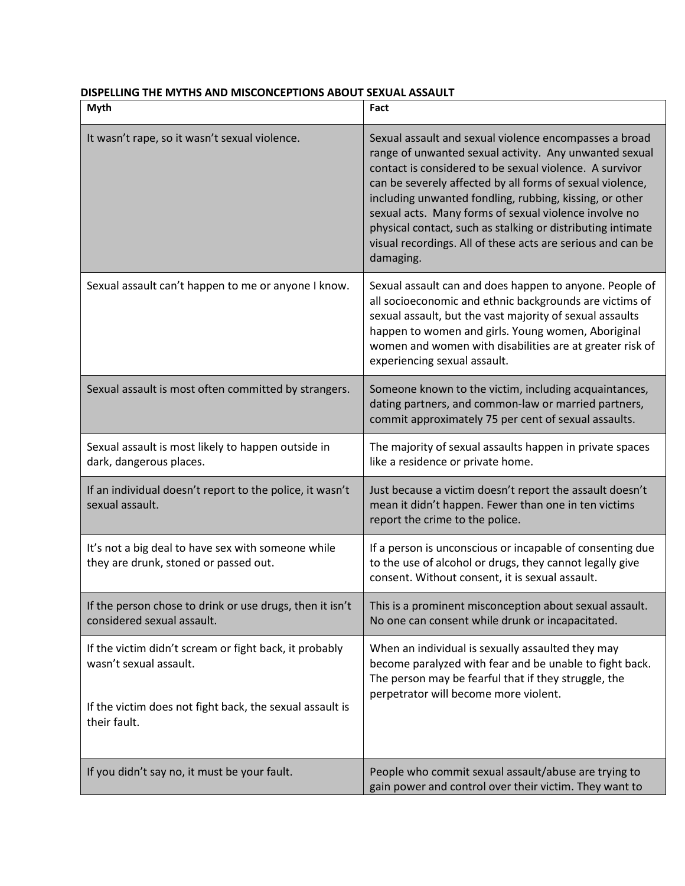| Myth                                                                                                                                                         | Fact                                                                                                                                                                                                                                                                                                                                                                                                                                                                                                    |
|--------------------------------------------------------------------------------------------------------------------------------------------------------------|---------------------------------------------------------------------------------------------------------------------------------------------------------------------------------------------------------------------------------------------------------------------------------------------------------------------------------------------------------------------------------------------------------------------------------------------------------------------------------------------------------|
| It wasn't rape, so it wasn't sexual violence.                                                                                                                | Sexual assault and sexual violence encompasses a broad<br>range of unwanted sexual activity. Any unwanted sexual<br>contact is considered to be sexual violence. A survivor<br>can be severely affected by all forms of sexual violence,<br>including unwanted fondling, rubbing, kissing, or other<br>sexual acts. Many forms of sexual violence involve no<br>physical contact, such as stalking or distributing intimate<br>visual recordings. All of these acts are serious and can be<br>damaging. |
| Sexual assault can't happen to me or anyone I know.                                                                                                          | Sexual assault can and does happen to anyone. People of<br>all socioeconomic and ethnic backgrounds are victims of<br>sexual assault, but the vast majority of sexual assaults<br>happen to women and girls. Young women, Aboriginal<br>women and women with disabilities are at greater risk of<br>experiencing sexual assault.                                                                                                                                                                        |
| Sexual assault is most often committed by strangers.                                                                                                         | Someone known to the victim, including acquaintances,<br>dating partners, and common-law or married partners,<br>commit approximately 75 per cent of sexual assaults.                                                                                                                                                                                                                                                                                                                                   |
| Sexual assault is most likely to happen outside in<br>dark, dangerous places.                                                                                | The majority of sexual assaults happen in private spaces<br>like a residence or private home.                                                                                                                                                                                                                                                                                                                                                                                                           |
| If an individual doesn't report to the police, it wasn't<br>sexual assault.                                                                                  | Just because a victim doesn't report the assault doesn't<br>mean it didn't happen. Fewer than one in ten victims<br>report the crime to the police.                                                                                                                                                                                                                                                                                                                                                     |
| It's not a big deal to have sex with someone while<br>they are drunk, stoned or passed out.                                                                  | If a person is unconscious or incapable of consenting due<br>to the use of alcohol or drugs, they cannot legally give<br>consent. Without consent, it is sexual assault.                                                                                                                                                                                                                                                                                                                                |
| If the person chose to drink or use drugs, then it isn't<br>considered sexual assault.                                                                       | This is a prominent misconception about sexual assault.<br>No one can consent while drunk or incapacitated.                                                                                                                                                                                                                                                                                                                                                                                             |
| If the victim didn't scream or fight back, it probably<br>wasn't sexual assault.<br>If the victim does not fight back, the sexual assault is<br>their fault. | When an individual is sexually assaulted they may<br>become paralyzed with fear and be unable to fight back.<br>The person may be fearful that if they struggle, the<br>perpetrator will become more violent.                                                                                                                                                                                                                                                                                           |
| If you didn't say no, it must be your fault.                                                                                                                 | People who commit sexual assault/abuse are trying to<br>gain power and control over their victim. They want to                                                                                                                                                                                                                                                                                                                                                                                          |

## **DISPELLING THE MYTHS AND MISCONCEPTIONS ABOUT SEXUAL ASSAULT**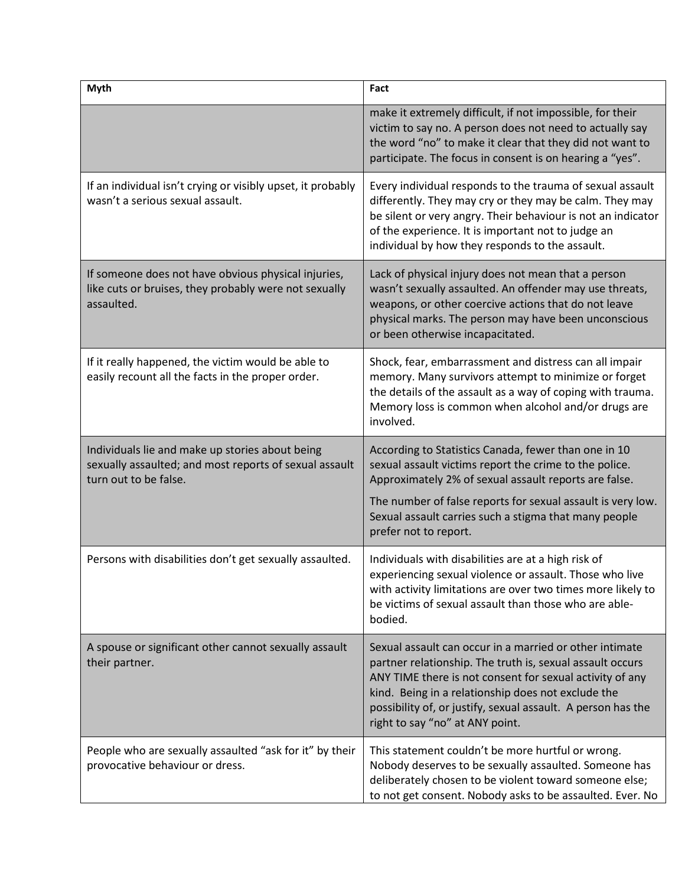| <b>Myth</b>                                                                                                                        | Fact                                                                                                                                                                                                                                                                                                                                      |
|------------------------------------------------------------------------------------------------------------------------------------|-------------------------------------------------------------------------------------------------------------------------------------------------------------------------------------------------------------------------------------------------------------------------------------------------------------------------------------------|
|                                                                                                                                    | make it extremely difficult, if not impossible, for their<br>victim to say no. A person does not need to actually say<br>the word "no" to make it clear that they did not want to<br>participate. The focus in consent is on hearing a "yes".                                                                                             |
| If an individual isn't crying or visibly upset, it probably<br>wasn't a serious sexual assault.                                    | Every individual responds to the trauma of sexual assault<br>differently. They may cry or they may be calm. They may<br>be silent or very angry. Their behaviour is not an indicator<br>of the experience. It is important not to judge an<br>individual by how they responds to the assault.                                             |
| If someone does not have obvious physical injuries,<br>like cuts or bruises, they probably were not sexually<br>assaulted.         | Lack of physical injury does not mean that a person<br>wasn't sexually assaulted. An offender may use threats,<br>weapons, or other coercive actions that do not leave<br>physical marks. The person may have been unconscious<br>or been otherwise incapacitated.                                                                        |
| If it really happened, the victim would be able to<br>easily recount all the facts in the proper order.                            | Shock, fear, embarrassment and distress can all impair<br>memory. Many survivors attempt to minimize or forget<br>the details of the assault as a way of coping with trauma.<br>Memory loss is common when alcohol and/or drugs are<br>involved.                                                                                          |
| Individuals lie and make up stories about being<br>sexually assaulted; and most reports of sexual assault<br>turn out to be false. | According to Statistics Canada, fewer than one in 10<br>sexual assault victims report the crime to the police.<br>Approximately 2% of sexual assault reports are false.<br>The number of false reports for sexual assault is very low.<br>Sexual assault carries such a stigma that many people<br>prefer not to report.                  |
| Persons with disabilities don't get sexually assaulted.                                                                            | Individuals with disabilities are at a high risk of<br>experiencing sexual violence or assault. Those who live<br>with activity limitations are over two times more likely to<br>be victims of sexual assault than those who are able-<br>bodied.                                                                                         |
| A spouse or significant other cannot sexually assault<br>their partner.                                                            | Sexual assault can occur in a married or other intimate<br>partner relationship. The truth is, sexual assault occurs<br>ANY TIME there is not consent for sexual activity of any<br>kind. Being in a relationship does not exclude the<br>possibility of, or justify, sexual assault. A person has the<br>right to say "no" at ANY point. |
| People who are sexually assaulted "ask for it" by their<br>provocative behaviour or dress.                                         | This statement couldn't be more hurtful or wrong.<br>Nobody deserves to be sexually assaulted. Someone has<br>deliberately chosen to be violent toward someone else;<br>to not get consent. Nobody asks to be assaulted. Ever. No                                                                                                         |